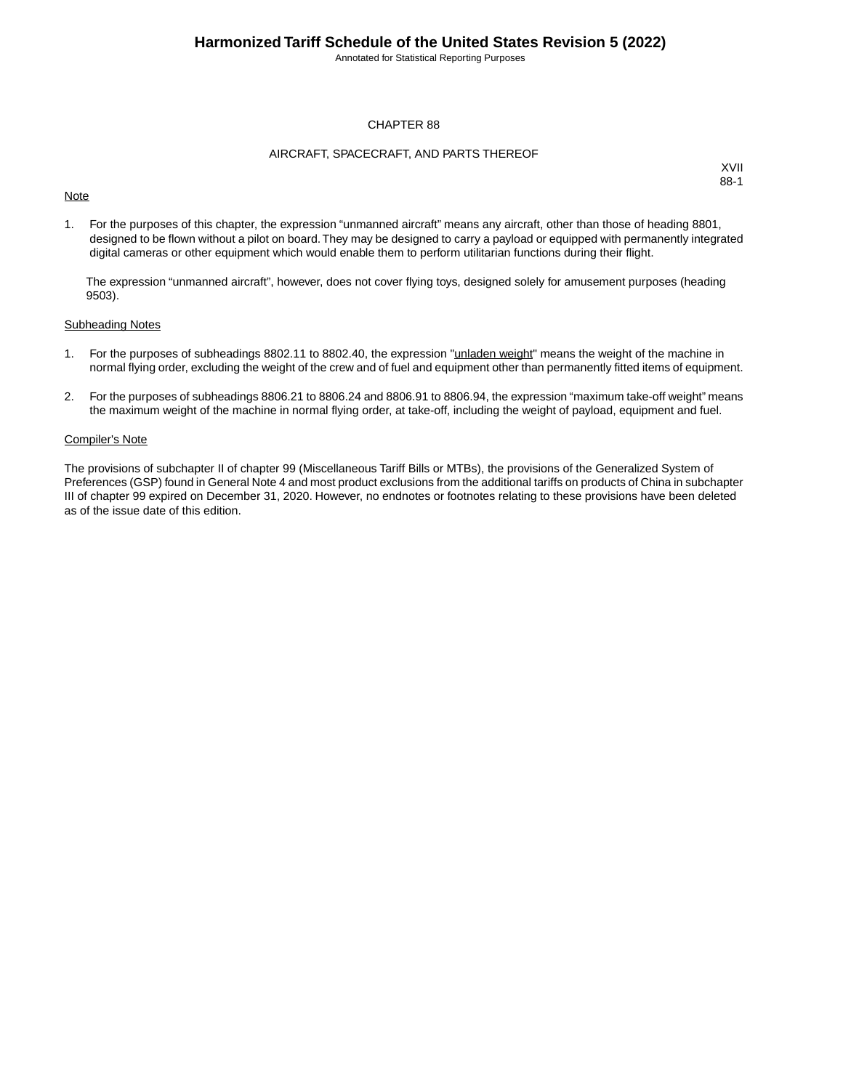Annotated for Statistical Reporting Purposes

### CHAPTER 88

### AIRCRAFT, SPACECRAFT, AND PARTS THEREOF

## **Note**

XVII 88-1

1. For the purposes of this chapter, the expression "unmanned aircraft" means any aircraft, other than those of heading 8801, designed to be flown without a pilot on board.They may be designed to carry a payload or equipped with permanently integrated digital cameras or other equipment which would enable them to perform utilitarian functions during their flight.

The expression "unmanned aircraft", however, does not cover flying toys, designed solely for amusement purposes (heading 9503).

#### Subheading Notes

- 1. For the purposes of subheadings 8802.11 to 8802.40, the expression "unladen weight" means the weight of the machine in normal flying order, excluding the weight of the crew and of fuel and equipment other than permanently fitted items of equipment.
- 2. For the purposes of subheadings 8806.21 to 8806.24 and 8806.91 to 8806.94, the expression "maximum take-off weight" means the maximum weight of the machine in normal flying order, at take-off, including the weight of payload, equipment and fuel.

### Compiler's Note

The provisions of subchapter II of chapter 99 (Miscellaneous Tariff Bills or MTBs), the provisions of the Generalized System of Preferences (GSP) found in General Note 4 and most product exclusions from the additional tariffs on products of China in subchapter III of chapter 99 expired on December 31, 2020. However, no endnotes or footnotes relating to these provisions have been deleted as of the issue date of this edition.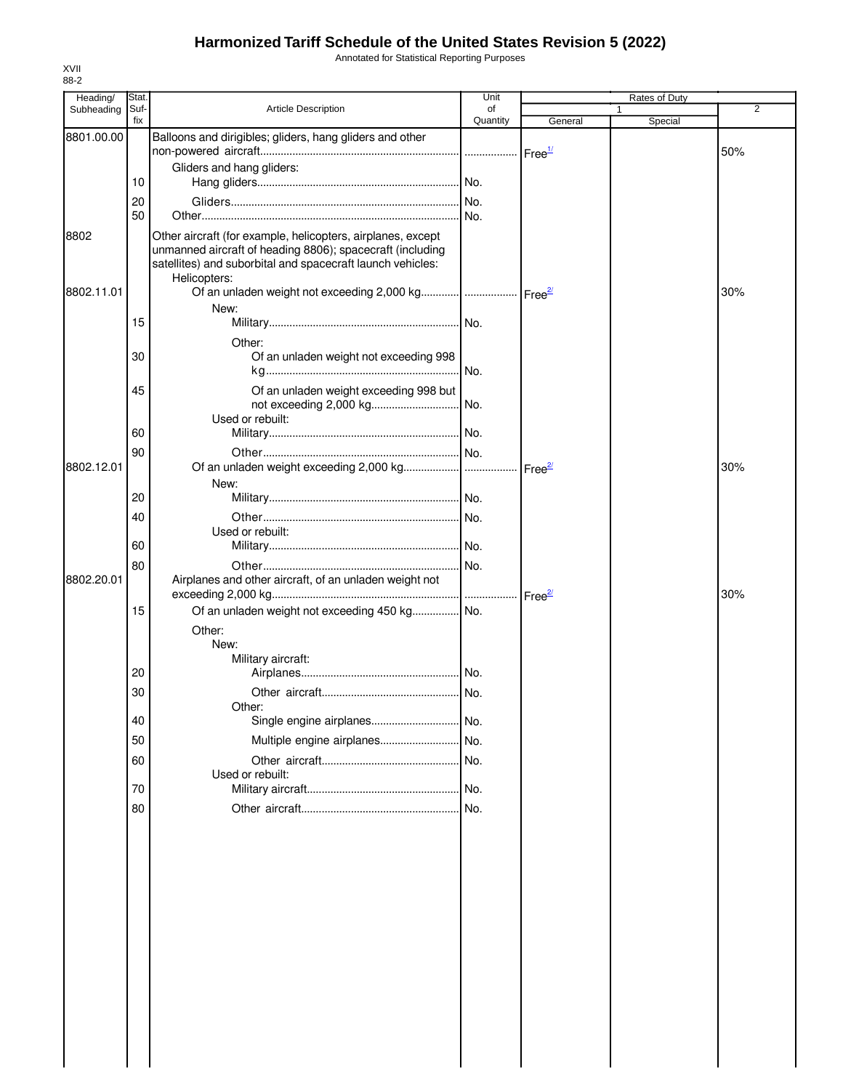Annotated for Statistical Reporting Purposes

| Heading/   | Stat.       |                                                                                                                                         | Unit           |                     | Rates of Duty |     |
|------------|-------------|-----------------------------------------------------------------------------------------------------------------------------------------|----------------|---------------------|---------------|-----|
| Subheading | Suf-<br>fix | <b>Article Description</b>                                                                                                              | of<br>Quantity |                     | 1             | 2   |
| 8801.00.00 |             | Balloons and dirigibles; gliders, hang gliders and other                                                                                |                | General             | Special       |     |
|            |             |                                                                                                                                         |                | Free <sup>1/</sup>  |               | 50% |
|            |             | Gliders and hang gliders:                                                                                                               |                |                     |               |     |
|            | 10          |                                                                                                                                         |                |                     |               |     |
|            | 20          |                                                                                                                                         |                |                     |               |     |
|            | 50          |                                                                                                                                         |                |                     |               |     |
| 8802       |             | Other aircraft (for example, helicopters, airplanes, except                                                                             |                |                     |               |     |
|            |             | unmanned aircraft of heading 8806); spacecraft (including<br>satellites) and suborbital and spacecraft launch vehicles:<br>Helicopters: |                |                     |               |     |
| 8802.11.01 |             | Of an unladen weight not exceeding 2,000 kg    Free <sup>21</sup>                                                                       |                |                     |               | 30% |
|            |             | New:                                                                                                                                    |                |                     |               |     |
|            | 15          |                                                                                                                                         |                |                     |               |     |
|            |             | Other:                                                                                                                                  |                |                     |               |     |
|            | 30          | Of an unladen weight not exceeding 998                                                                                                  |                |                     |               |     |
|            |             |                                                                                                                                         | No.            |                     |               |     |
|            | 45          | Of an unladen weight exceeding 998 but<br>Used or rebuilt:                                                                              |                |                     |               |     |
|            | 60          |                                                                                                                                         |                |                     |               |     |
|            |             |                                                                                                                                         |                |                     |               |     |
| 8802.12.01 | 90          |                                                                                                                                         |                |                     |               | 30% |
|            |             | New:                                                                                                                                    |                | Free $\frac{27}{2}$ |               |     |
|            | 20          |                                                                                                                                         |                |                     |               |     |
|            |             |                                                                                                                                         | No.            |                     |               |     |
|            | 40          | Used or rebuilt:                                                                                                                        |                |                     |               |     |
|            | 60          |                                                                                                                                         |                |                     |               |     |
|            | 80          |                                                                                                                                         |                |                     |               |     |
| 8802.20.01 |             | Airplanes and other aircraft, of an unladen weight not                                                                                  |                |                     |               |     |
|            |             |                                                                                                                                         |                |                     |               | 30% |
|            | 15          | Of an unladen weight not exceeding 450 kg No.                                                                                           |                |                     |               |     |
|            |             | Other:                                                                                                                                  |                |                     |               |     |
|            |             | New:                                                                                                                                    |                |                     |               |     |
|            |             | Military aircraft:                                                                                                                      |                |                     |               |     |
|            | 20          |                                                                                                                                         |                |                     |               |     |
|            | 30          |                                                                                                                                         |                |                     |               |     |
|            |             | Other:                                                                                                                                  |                |                     |               |     |
|            | 40          |                                                                                                                                         |                |                     |               |     |
|            | 50          | Multiple engine airplanes                                                                                                               | No.            |                     |               |     |
|            | 60          |                                                                                                                                         |                |                     |               |     |
|            |             | Used or rebuilt:                                                                                                                        |                |                     |               |     |
|            | 70          |                                                                                                                                         |                |                     |               |     |
|            | 80          |                                                                                                                                         |                |                     |               |     |
|            |             |                                                                                                                                         |                |                     |               |     |
|            |             |                                                                                                                                         |                |                     |               |     |
|            |             |                                                                                                                                         |                |                     |               |     |
|            |             |                                                                                                                                         |                |                     |               |     |
|            |             |                                                                                                                                         |                |                     |               |     |
|            |             |                                                                                                                                         |                |                     |               |     |
|            |             |                                                                                                                                         |                |                     |               |     |
|            |             |                                                                                                                                         |                |                     |               |     |
|            |             |                                                                                                                                         |                |                     |               |     |
|            |             |                                                                                                                                         |                |                     |               |     |
|            |             |                                                                                                                                         |                |                     |               |     |
|            |             |                                                                                                                                         |                |                     |               |     |
|            |             |                                                                                                                                         |                |                     |               |     |
|            |             |                                                                                                                                         |                |                     |               |     |
|            |             |                                                                                                                                         |                |                     |               |     |
|            |             |                                                                                                                                         |                |                     |               |     |

XVII 88-2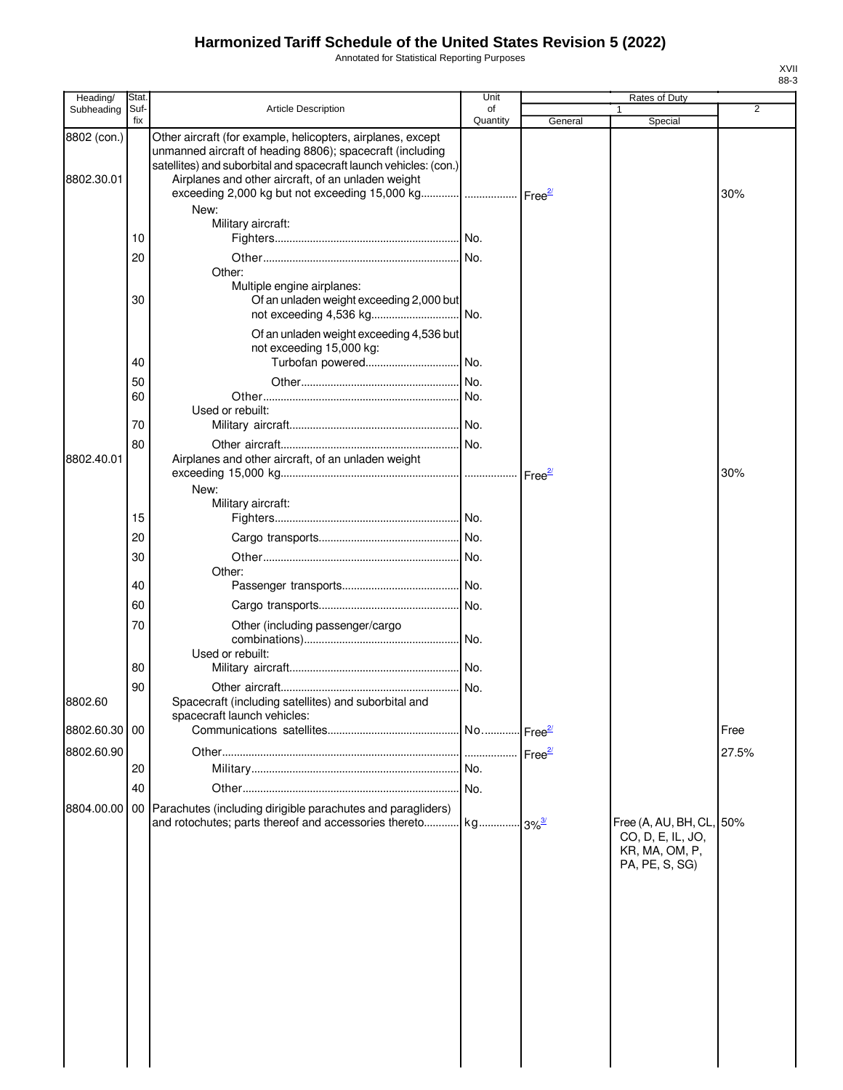Annotated for Statistical Reporting Purposes

| Heading/                  | Stat.       |                                                                                                                                                                                                                                                     | Unit           |                      | Rates of Duty                                                                     |                |
|---------------------------|-------------|-----------------------------------------------------------------------------------------------------------------------------------------------------------------------------------------------------------------------------------------------------|----------------|----------------------|-----------------------------------------------------------------------------------|----------------|
| Subheading                | Suf-<br>fix | <b>Article Description</b>                                                                                                                                                                                                                          | of<br>Quantity | General              | Special                                                                           | $\overline{2}$ |
| 8802 (con.)<br>8802.30.01 |             | Other aircraft (for example, helicopters, airplanes, except<br>unmanned aircraft of heading 8806); spacecraft (including<br>satellites) and suborbital and spacecraft launch vehicles: (con.)<br>Airplanes and other aircraft, of an unladen weight |                |                      |                                                                                   |                |
|                           |             | exceeding 2,000 kg but not exceeding 15,000 kg    Free <sup>2/</sup><br>New:                                                                                                                                                                        |                |                      |                                                                                   | 30%            |
|                           | 10          | Military aircraft:                                                                                                                                                                                                                                  |                |                      |                                                                                   |                |
|                           | 20          |                                                                                                                                                                                                                                                     |                |                      |                                                                                   |                |
|                           | 30          | Other:<br>Multiple engine airplanes:<br>Of an unladen weight exceeding 2,000 but                                                                                                                                                                    |                |                      |                                                                                   |                |
|                           |             | Of an unladen weight exceeding 4,536 but<br>not exceeding 15,000 kg:                                                                                                                                                                                |                |                      |                                                                                   |                |
|                           | 40          | Turbofan powered                                                                                                                                                                                                                                    | .l No.         |                      |                                                                                   |                |
|                           | 50          |                                                                                                                                                                                                                                                     |                |                      |                                                                                   |                |
|                           | 60          |                                                                                                                                                                                                                                                     |                |                      |                                                                                   |                |
|                           |             | Used or rebuilt:                                                                                                                                                                                                                                    |                |                      |                                                                                   |                |
|                           | 70          |                                                                                                                                                                                                                                                     |                |                      |                                                                                   |                |
|                           | 80          |                                                                                                                                                                                                                                                     |                |                      |                                                                                   |                |
| 8802.40.01                |             | Airplanes and other aircraft, of an unladen weight                                                                                                                                                                                                  |                | Free <sup>2/</sup>   |                                                                                   | 30%            |
|                           |             | New:<br>Military aircraft:                                                                                                                                                                                                                          |                |                      |                                                                                   |                |
|                           | 15          |                                                                                                                                                                                                                                                     |                |                      |                                                                                   |                |
|                           | 20          |                                                                                                                                                                                                                                                     |                |                      |                                                                                   |                |
|                           |             |                                                                                                                                                                                                                                                     |                |                      |                                                                                   |                |
|                           | 30          | Other:                                                                                                                                                                                                                                              |                |                      |                                                                                   |                |
|                           | 40          |                                                                                                                                                                                                                                                     |                |                      |                                                                                   |                |
|                           | 60          |                                                                                                                                                                                                                                                     |                |                      |                                                                                   |                |
|                           | 70          | Other (including passenger/cargo                                                                                                                                                                                                                    | No.            |                      |                                                                                   |                |
|                           |             | Used or rebuilt:                                                                                                                                                                                                                                    |                |                      |                                                                                   |                |
|                           | 80          |                                                                                                                                                                                                                                                     |                |                      |                                                                                   |                |
|                           | 90          | Spacecraft (including satellites) and suborbital and                                                                                                                                                                                                |                |                      |                                                                                   |                |
| 8802.60                   |             | spacecraft launch vehicles:                                                                                                                                                                                                                         |                |                      |                                                                                   |                |
| 8802.60.30 00             |             |                                                                                                                                                                                                                                                     | No             | - Free <sup>2/</sup> |                                                                                   | Free           |
| 8802.60.90                |             |                                                                                                                                                                                                                                                     |                | Free <sup>2/</sup>   |                                                                                   | 27.5%          |
|                           | 20          |                                                                                                                                                                                                                                                     |                |                      |                                                                                   |                |
|                           | 40          |                                                                                                                                                                                                                                                     | I No.          |                      |                                                                                   |                |
| 8804.00.00                |             | 00 Parachutes (including dirigible parachutes and paragliders)<br>and rotochutes; parts thereof and accessories thereto                                                                                                                             | kg             | $-3\%^{3/2}$         | Free (A, AU, BH, CL, 50%<br>CO, D, E, IL, JO,<br>KR, MA, OM, P,<br>PA, PE, S, SG) |                |
|                           |             |                                                                                                                                                                                                                                                     |                |                      |                                                                                   |                |
|                           |             |                                                                                                                                                                                                                                                     |                |                      |                                                                                   |                |
|                           |             |                                                                                                                                                                                                                                                     |                |                      |                                                                                   |                |
|                           |             |                                                                                                                                                                                                                                                     |                |                      |                                                                                   |                |
|                           |             |                                                                                                                                                                                                                                                     |                |                      |                                                                                   |                |
|                           |             |                                                                                                                                                                                                                                                     |                |                      |                                                                                   |                |

XVII 88-3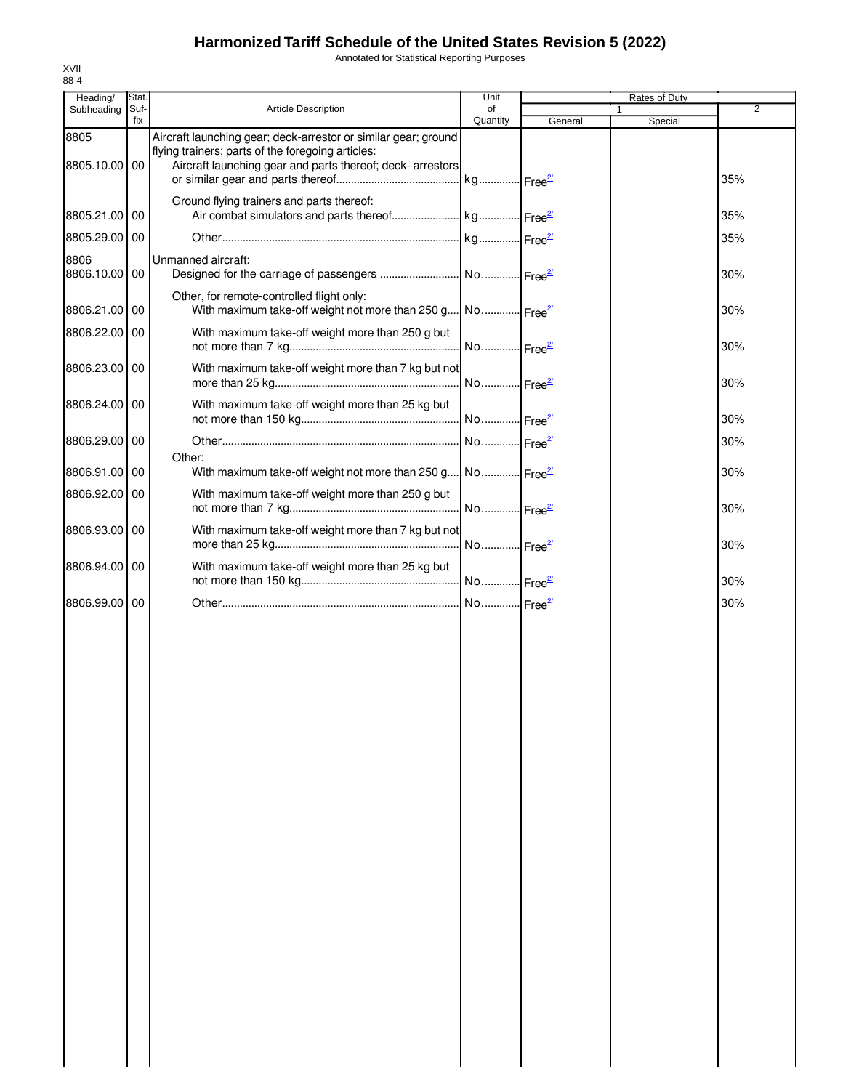Annotated for Statistical Reporting Purposes

| Heading/              | Stat.       |                                                                                                                                                                                   | Unit                  | Rates of Duty |              |                |
|-----------------------|-------------|-----------------------------------------------------------------------------------------------------------------------------------------------------------------------------------|-----------------------|---------------|--------------|----------------|
| Subheading            | Suf-<br>fix | Article Description                                                                                                                                                               | of<br>Quantity        | General       | 1<br>Special | $\overline{2}$ |
| 8805<br>8805.10.00 00 |             | Aircraft launching gear; deck-arrestor or similar gear; ground<br>flying trainers; parts of the foregoing articles:<br>Aircraft launching gear and parts thereof; deck- arrestors |                       |               |              | 35%            |
| 8805.21.00 00         |             | Ground flying trainers and parts thereof:                                                                                                                                         |                       |               |              | 35%            |
| 8805.29.00 00         |             |                                                                                                                                                                                   |                       |               |              | 35%            |
| 8806<br>8806.10.00    | 00          | Unmanned aircraft:                                                                                                                                                                |                       |               |              | 30%            |
| 8806.21.00 00         |             | Other, for remote-controlled flight only:<br>With maximum take-off weight not more than 250 g No Free <sup>21</sup>                                                               |                       |               |              | 30%            |
| 8806.22.00            | 00          | With maximum take-off weight more than 250 g but                                                                                                                                  | No Free <sup>2/</sup> |               |              | 30%            |
| 8806.23.00 00         |             | With maximum take-off weight more than 7 kg but not                                                                                                                               |                       |               |              | 30%            |
| 8806.24.00 00         |             | With maximum take-off weight more than 25 kg but                                                                                                                                  |                       |               |              | 30%            |
| 8806.29.00 00         |             |                                                                                                                                                                                   | No Free <sup>2/</sup> |               |              | 30%            |
| 8806.91.00            | 00          | Other:<br>With maximum take-off weight not more than 250 g No Free <sup>27</sup>                                                                                                  |                       |               |              | 30%            |
| 8806.92.00 00         |             | With maximum take-off weight more than 250 g but                                                                                                                                  | No Free <sup>2/</sup> |               |              | 30%            |
| 8806.93.00 00         |             | With maximum take-off weight more than 7 kg but not                                                                                                                               | No Free <sup>2/</sup> |               |              | 30%            |
| 8806.94.00 00         |             | With maximum take-off weight more than 25 kg but                                                                                                                                  |                       |               |              | 30%            |
| 8806.99.00 00         |             |                                                                                                                                                                                   | No Free <sup>2/</sup> |               |              | 30%            |
|                       |             |                                                                                                                                                                                   |                       |               |              |                |
|                       |             |                                                                                                                                                                                   |                       |               |              |                |
|                       |             |                                                                                                                                                                                   |                       |               |              |                |
|                       |             |                                                                                                                                                                                   |                       |               |              |                |
|                       |             |                                                                                                                                                                                   |                       |               |              |                |
|                       |             |                                                                                                                                                                                   |                       |               |              |                |
|                       |             |                                                                                                                                                                                   |                       |               |              |                |
|                       |             |                                                                                                                                                                                   |                       |               |              |                |
|                       |             |                                                                                                                                                                                   |                       |               |              |                |
|                       |             |                                                                                                                                                                                   |                       |               |              |                |
|                       |             |                                                                                                                                                                                   |                       |               |              |                |
|                       |             |                                                                                                                                                                                   |                       |               |              |                |
|                       |             |                                                                                                                                                                                   |                       |               |              |                |
|                       |             |                                                                                                                                                                                   |                       |               |              |                |
|                       |             |                                                                                                                                                                                   |                       |               |              |                |

XVII 88-4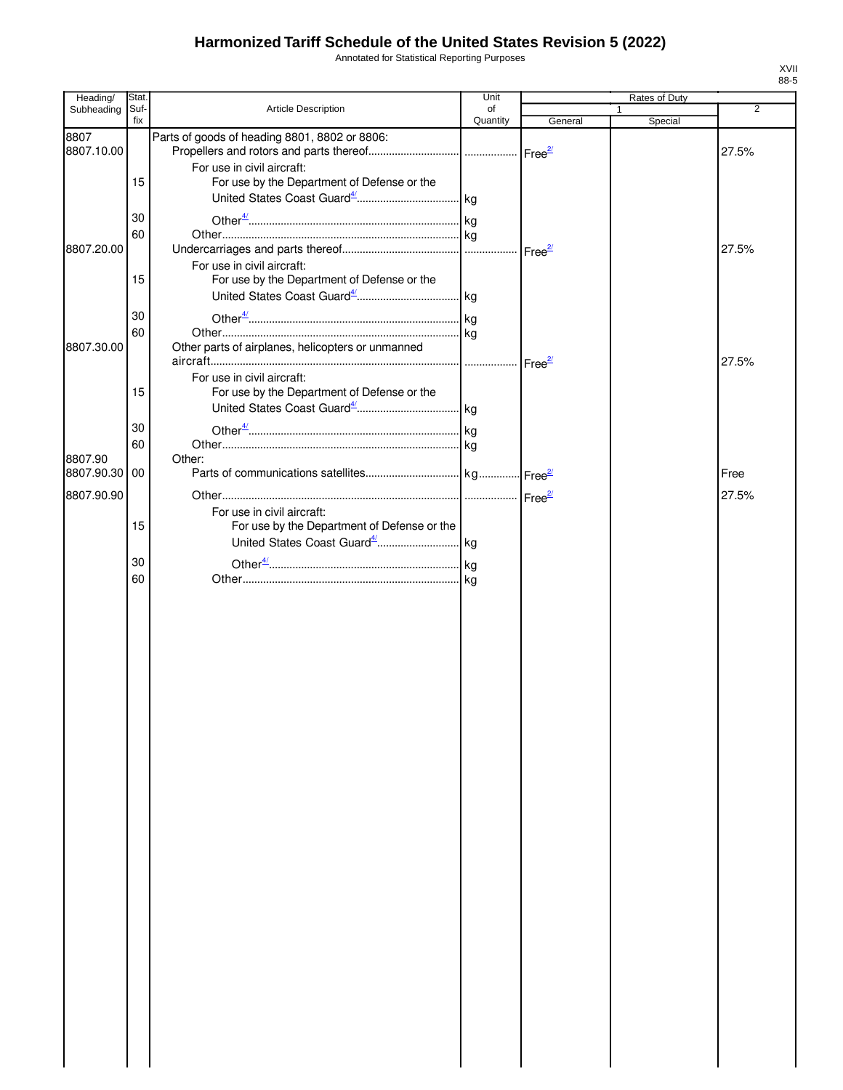Annotated for Statistical Reporting Purposes

| Heading/      | Stat.       |                                                                           | Unit     |                    | Rates of Duty |                |
|---------------|-------------|---------------------------------------------------------------------------|----------|--------------------|---------------|----------------|
| Subheading    | Suf-<br>fix | <b>Article Description</b>                                                | of       |                    |               | $\overline{2}$ |
| 8807          |             | Parts of goods of heading 8801, 8802 or 8806:                             | Quantity | General            | Special       |                |
| 8807.10.00    |             |                                                                           |          |                    |               | 27.5%          |
|               |             | For use in civil aircraft:                                                |          |                    |               |                |
|               | 15          | For use by the Department of Defense or the                               |          |                    |               |                |
|               |             |                                                                           |          |                    |               |                |
|               | 30          |                                                                           |          |                    |               |                |
|               |             |                                                                           |          |                    |               |                |
| 8807.20.00    | 60          |                                                                           |          |                    |               | 27.5%          |
|               |             | For use in civil aircraft:                                                |          |                    |               |                |
|               | 15          | For use by the Department of Defense or the                               |          |                    |               |                |
|               |             |                                                                           |          |                    |               |                |
|               |             |                                                                           |          |                    |               |                |
|               | 30          |                                                                           |          |                    |               |                |
|               | 60          |                                                                           |          |                    |               |                |
| 8807.30.00    |             | Other parts of airplanes, helicopters or unmanned                         |          |                    |               |                |
|               |             |                                                                           | .        | Free <sup>2/</sup> |               | 27.5%          |
|               | 15          | For use in civil aircraft:<br>For use by the Department of Defense or the |          |                    |               |                |
|               |             |                                                                           |          |                    |               |                |
|               |             |                                                                           |          |                    |               |                |
|               | 30          |                                                                           |          |                    |               |                |
|               | 60          |                                                                           |          |                    |               |                |
| 8807.90       |             | Other:                                                                    |          |                    |               |                |
| 8807.90.30 00 |             |                                                                           |          |                    |               | Free           |
| 8807.90.90    |             |                                                                           |          |                    |               | 27.5%          |
|               |             | For use in civil aircraft:                                                |          |                    |               |                |
|               | 15          | For use by the Department of Defense or the                               |          |                    |               |                |
|               |             |                                                                           |          |                    |               |                |
|               | 30          |                                                                           |          |                    |               |                |
|               | 60          |                                                                           |          |                    |               |                |
|               |             |                                                                           |          |                    |               |                |
|               |             |                                                                           |          |                    |               |                |
|               |             |                                                                           |          |                    |               |                |
|               |             |                                                                           |          |                    |               |                |
|               |             |                                                                           |          |                    |               |                |
|               |             |                                                                           |          |                    |               |                |
|               |             |                                                                           |          |                    |               |                |
|               |             |                                                                           |          |                    |               |                |
|               |             |                                                                           |          |                    |               |                |
|               |             |                                                                           |          |                    |               |                |
|               |             |                                                                           |          |                    |               |                |
|               |             |                                                                           |          |                    |               |                |
|               |             |                                                                           |          |                    |               |                |
|               |             |                                                                           |          |                    |               |                |
|               |             |                                                                           |          |                    |               |                |
|               |             |                                                                           |          |                    |               |                |
|               |             |                                                                           |          |                    |               |                |
|               |             |                                                                           |          |                    |               |                |
|               |             |                                                                           |          |                    |               |                |
|               |             |                                                                           |          |                    |               |                |
|               |             |                                                                           |          |                    |               |                |
|               |             |                                                                           |          |                    |               |                |
|               |             |                                                                           |          |                    |               |                |
|               |             |                                                                           |          |                    |               |                |
|               |             |                                                                           |          |                    |               |                |
|               |             |                                                                           |          |                    |               |                |
|               |             |                                                                           |          |                    |               |                |
|               |             |                                                                           |          |                    |               |                |
|               |             |                                                                           |          |                    |               |                |
|               |             |                                                                           |          |                    |               |                |
|               |             |                                                                           |          |                    |               |                |

XVII 88-5